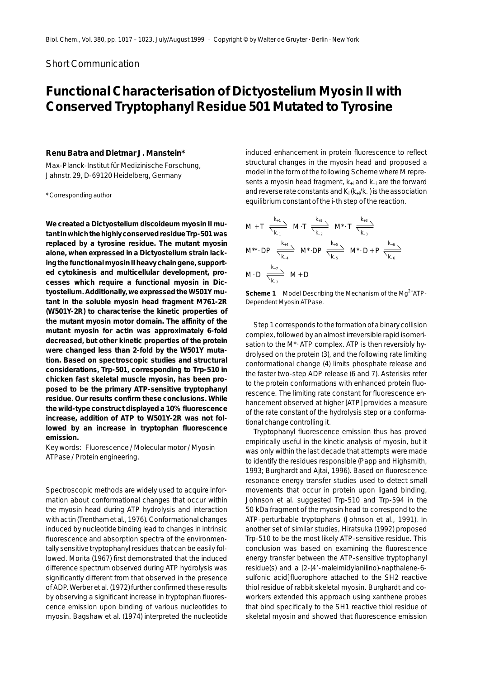## Short Communication

# **Functional Characterisation of** *Dictyostelium* **Myosin II with Conserved Tryptophanyl Residue 501 Mutated to Tyrosine**

### **Renu Batra and Dietmar J. Manstein\***

Max-Planck-Institut für Medizinische Forschung, Jahnstr. 29, D-69120 Heidelberg, Germany

\* Corresponding author

**We created a** *Dictyostelium discoideum* **myosin II mutant in which the highly conserved residue Trp-501 was replaced by a tyrosine residue. The mutant myosin alone, when expressed in a** *Dictyostelium* **strain lacking the functional myosin II heavy chain gene, supported cytokinesis and multicellular development, processes which require a functional myosin in** *Dictyostelium***. Additionally, we expressed the W501Y mutant in the soluble myosin head fragment M761-2R (W501Y-2R) to characterise the kinetic properties of the mutant myosin motor domain. The affinity of the mutant myosin for actin was approximately 6-fold decreased, but other kinetic properties of the protein were changed less than 2-fold by the W501Y mutation. Based on spectroscopic studies and structural considerations, Trp-501, corresponding to Trp-510 in chicken fast skeletal muscle myosin, has been proposed to be the primary ATP-sensitive tryptophanyl residue. Our results confirm these conclusions. While the wild-type construct displayed a 10% fluorescence increase, addition of ATP to W501Y-2R was not followed by an increase in tryptophan fluorescence emission.**

*Key words:* Fluorescence / Molecular motor / Myosin ATPase / Protein engineering.

Spectroscopic methods are widely used to acquire information about conformational changes that occur within the myosin head during ATP hydrolysis and interaction with actin (Trentham *et al.*, 1976). Conformational changes induced by nucleotide binding lead to changes in intrinsic fluorescence and absorption spectra of the environmentally sensitive tryptophanyl residues that can be easily followed. Morita (1967) first demonstrated that the induced difference spectrum observed during ATP hydrolysis was significantly different from that observed in the presence of ADP. Werber *et al.* (1972) further confirmed these results by observing a significant increase in tryptophan fluorescence emission upon binding of various nucleotides to myosin. Bagshaw *et al.* (1974) interpreted the nucleotide induced enhancement in protein fluorescence to reflect structural changes in the myosin head and proposed a model in the form of the following Scheme where M represents a myosin head fragment, *k*+i and *k*–i are the forward and reverse rate constants and  $K_i(k_{+i}/k_{-i})$  is the association equilibrium constant of the *i*-th step of the reaction.

M + T 
$$
\frac{k_{+1}}{\sum_{k_{-1}}}
$$
 M \cdot T  $\frac{k_{+2}}{\sum_{k_{-2}}}$  M<sup>\*</sup> \cdot T  $\frac{k_{+3}}{\sum_{k_{-3}}}$   
\nM<sup>\*\*</sup> \cdot DP  $\frac{k_{+4}}{\sum_{k_{-4}}}$  M<sup>\*</sup> \cdot DP  $\frac{k_{+5}}{\sum_{k_{-5}}}$  M<sup>\*</sup> \cdot D + P  $\frac{k_{+6}}{\sum_{k_{-6}}}$   
\nM \cdot D  $\frac{k_{+7}}{\sum_{k_{-7}}}$  M + D

**Scheme 1** Model Describing the Mechanism of the Mg<sup>2+</sup>ATP-Dependent Myosin ATPase.

Step 1 corresponds to the formation of a binary collision complex, followed by an almost irreversible rapid isomerisation to the M<sup>\*</sup> · ATP complex. ATP is then reversibly hydrolysed on the protein (3), and the following rate limiting conformational change (4) limits phosphate release and the faster two-step ADP release (6 and 7). Asterisks refer to the protein conformations with enhanced protein fluorescence. The limiting rate constant for fluorescence enhancement observed at higher [ATP] provides a measure of the rate constant of the hydrolysis step or a conformational change controlling it.

Tryptophanyl fluorescence emission thus has proved empirically useful in the kinetic analysis of myosin, but it was only within the last decade that attempts were made to identify the residues responsible (Papp and Highsmith, 1993; Burghardt and Ajtai, 1996). Based on fluorescence resonance energy transfer studies used to detect small movements that occur in protein upon ligand binding, Johnson *et al.* suggested Trp-510 and Trp-594 in the 50 kDa fragment of the myosin head to correspond to the ATP-perturbable tryptophans (Johnson *et al.*, 1991). In another set of similar studies, Hiratsuka (1992) proposed Trp-510 to be the most likely ATP-sensitive residue. This conclusion was based on examining the fluorescence energy transfer between the ATP-sensitive tryptophanyl residue(s) and a [2-(4--maleimidylanilino)-napthalene-6 sulfonic acid] fluorophore attached to the SH2 reactive thiol residue of rabbit skeletal myosin. Burghardt and coworkers extended this approach using xanthene probes that bind specifically to the SH1 reactive thiol residue of skeletal myosin and showed that fluorescence emission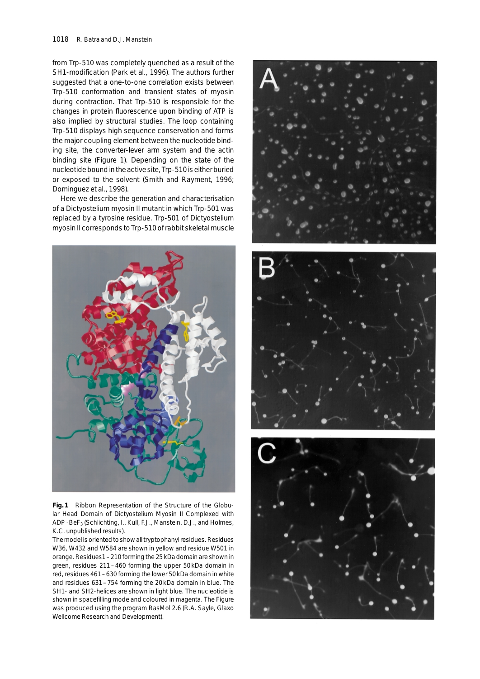from Trp-510 was completely quenched as a result of the SH1-modification (Park *et al.*, 1996). The authors further suggested that a one-to-one correlation exists between Trp-510 conformation and transient states of myosin during contraction. That Trp-510 is responsible for the changes in protein fluorescence upon binding of ATP is also implied by structural studies. The loop containing Trp-510 displays high sequence conservation and forms the major coupling element between the nucleotide binding site, the converter-lever arm system and the actin binding site (Figure 1). Depending on the state of the nucleotide bound in the active site, Trp-510 is either buried or exposed to the solvent (Smith and Rayment, 1996; Dominguez *et al.*, 1998).

Here we describe the generation and characterisation of a *Dictyostelium* myosin II mutant in which Trp-501 was replaced by a tyrosine residue. Trp-501 of *Dictyostelium* myosin II corresponds to Trp-510 of rabbit skeletal muscle



**Fig. 1** Ribbon Representation of the Structure of the Globular Head Domain of *Dictyostelium* Myosin II Complexed with ADP · BeF<sub>3</sub> (Schlichting, I., Kull, F.J., Manstein, D.J., and Holmes, K.C. unpublished results).

The model is oriented to show all tryptophanyl residues. Residues W36, W432 and W584 are shown in yellow and residue W501 in orange. Residues1 – 210 forming the 25 kDa domain are shown in green, residues 211 – 460 forming the upper 50 kDa domain in red, residues 461 – 630 forming the lower 50 kDa domain in white and residues 631 – 754 forming the 20 kDa domain in blue. The SH1- and SH2-helices are shown in light blue. The nucleotide is shown in spacefilling mode and coloured in magenta. The Figure was produced using the program RasMol 2.6 (R.A. Sayle, Glaxo Wellcome Research and Development).





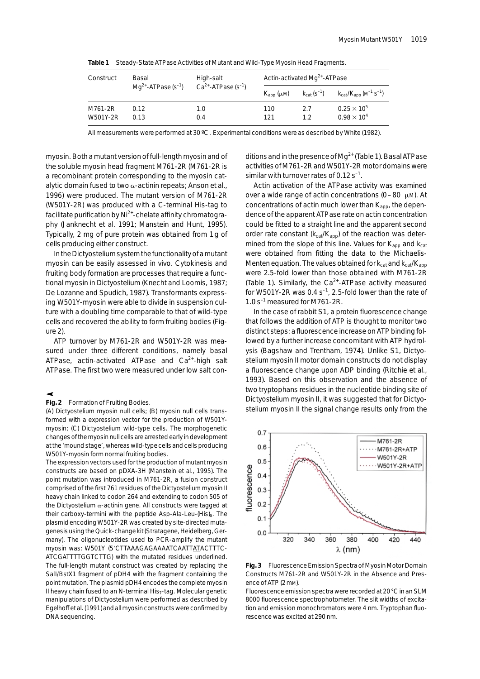| Construct | Basal<br>$Mq^{2+}$ -ATPase (s <sup>-1</sup> ) | High-salt<br>$Ca2+$ -ATPase (s <sup>-1</sup> ) | Actin-activated $Mq^{2+}$ -ATPase |                                     |                                                                    |
|-----------|-----------------------------------------------|------------------------------------------------|-----------------------------------|-------------------------------------|--------------------------------------------------------------------|
|           |                                               |                                                | $K_{\rm ann}$ ( $\mu$ M)          | $k_{\text{cat}}$ (S <sup>-1</sup> ) | $k_{\text{cat}}/K_{\text{app}}$ (M <sup>-1</sup> S <sup>-1</sup> ) |
| M761-2R   | 0.12                                          | 1.0                                            | 110                               | 2.7                                 | $0.25 \times 10^{5}$                                               |
| W501Y-2R  | 0.13                                          | 0.4                                            | 121                               | 12                                  | $0.98 \times 10^{4}$                                               |

**Table 1** Steady-State ATPase Activities of Mutant and Wild-Type Myosin Head Fragments.

All measurements were performed at 30 ºC . Experimental conditions were as described by White (1982).

myosin. Both a mutant version of full-length myosin and of the soluble myosin head fragment M761-2R (M761-2R is a recombinant protein corresponding to the myosin catalytic domain fused to two  $\alpha$ -actinin repeats; Anson *et al.*, 1996) were produced. The mutant version of M761-2R (W501Y-2R) was produced with a C-terminal His-tag to facilitate purification by  $Ni<sup>2+</sup>$ -chelate affinity chromatography (Janknecht *et al.* 1991; Manstein and Hunt, 1995). Typically, 2 mg of pure protein was obtained from 1 g of cells producing either construct.

In the *Dictyostelium*system the functionality of a mutant myosin can be easily assessed *in vivo*. Cytokinesis and fruiting body formation are processes that require a functional myosin in *Dictyostelium* (Knecht and Loomis, 1987; De Lozanne and Spudich, 1987). Transformants expressing W501Y-myosin were able to divide in suspension culture with a doubling time comparable to that of wild-type cells and recovered the ability to form fruiting bodies (Figure 2).

ATP turnover by M761-2R and W501Y-2R was measured under three different conditions, namely basal ATPase, actin-activated ATPase and  $Ca<sup>2+</sup>$ -high salt ATPase. The first two were measured under low salt conditions and in the presence of  $Mq^{2+}$  (Table 1). Basal ATPase activities of M761-2R and W501Y-2R motor domains were similar with turnover rates of  $0.12$  s<sup>-1</sup>.

Actin activation of the ATPase activity was examined over a wide range of actin concentrations ( $0 - 80 \mu$ M). At concentrations of actin much lower than  $K_{app}$ , the dependence of the apparent ATPase rate on actin concentration could be fitted to a straight line and the apparent second order rate constant ( $k_{cat}/K_{app}$ ) of the reaction was determined from the slope of this line. Values for  $K_{\text{ann}}$  and  $K_{\text{cat}}$ were obtained from fitting the data to the Michaelis-Menten equation. The values obtained for  $k_{\text{cat}}$  and  $k_{\text{cat}}/K_{\text{app}}$ were 2.5-fold lower than those obtained with M761-2R (Table 1). Similarly, the  $Ca^{2+}$ -ATPase activity measured for W501Y-2R was  $0.4 s^{-1}$ , 2.5-fold lower than the rate of  $1.0 s<sup>-1</sup>$  measured for M761-2R.

In the case of rabbit S1, a protein fluorescence change that follows the addition of ATP is thought to monitor two distinct steps: a fluorescence increase on ATP binding followed by a further increase concomitant with ATP hydrolysis (Bagshaw and Trentham, 1974). Unlike S1, *Dictyostelium* myosin II motor domain constructs do not display a fluorescence change upon ADP binding (Ritchie *et al.*, 1993). Based on this observation and the absence of two tryptophans residues in the nucleotide binding site of *Dictyostelium* myosin II, it was suggested that for *Dictyostelium* myosin II the signal change results only from the



**Fig. 3** Fluorescence Emission Spectra of Myosin Motor Domain Constructs M761-2R and W501Y-2R in the Absence and Presence of ATP (2 mm).

Fluorescence emission spectra were recorded at 20 °C in an SLM 8000 fluorescence spectrophotometer. The slit widths of excitation and emission monochromators were 4 nm. Tryptophan fluorescence was excited at 290 nm.

**Fig. 2** Formation of Fruiting Bodies.

<sup>(</sup>A) *Dictyostelium* myosin null cells; (B) myosin null cells transformed with a expression vector for the production of W501Ymyosin; (C) *Dictyostelium* wild-type cells. The morphogenetic changes of the myosin null cells are arrested early in development at the 'mound stage', whereas wild-type cells and cells producing W501Y-myosin form normal fruiting bodies.

The expression vectors used for the production of mutant myosin constructs are based on pDXA-3H (Manstein *et al.*, 1995). The point mutation was introduced in M761-2R, a fusion construct comprised of the first 761 residues of the *Dictyostelium* myosin II heavy chain linked to codon 264 and extending to codon 505 of the *Dictyostelium*  $\alpha$ -actinin gene. All constructs were tagged at their carboxy-termini with the peptide Asp-Ala-Leu-(His)<sub>8</sub>. The plasmid encoding W501Y-2R was created by site-directed mutagenesis using the Quick-change kit (Stratagene, Heidelberg, Germany). The oligonucleotides used to PCR-amplify the mutant myosin was: W501Y (5'CTTAAAGAGAAAATCAATTATACTTTC-ATCGATTTTGGTCTTG) with the mutated residues underlined. The full-length mutant construct was created by replacing the *Sal*I/*Bst*X1 fragment of pDH4 with the fragment containing the point mutation. The plasmid pDH4 encodes the complete myosin II heavy chain fused to an N-terminal His<sub>7</sub>-tag. Molecular genetic manipulations of *Dictyostelium* were performed as described by Egelhoff *et al.* (1991) and all myosin constructs were confirmed by DNA sequencing.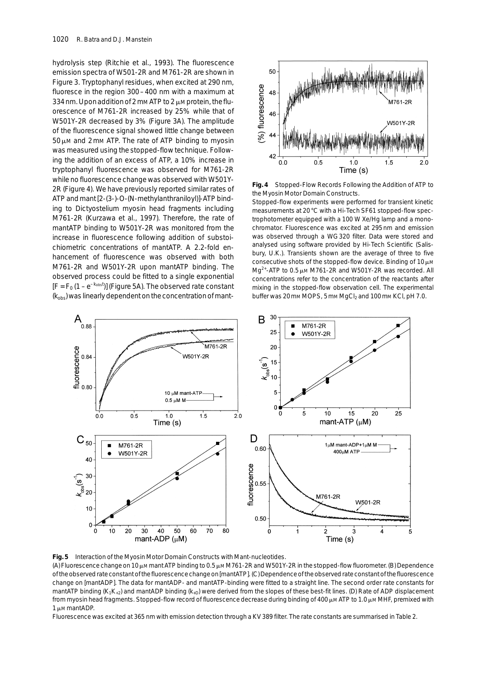hydrolysis step (Ritchie *et al.*, 1993). The fluorescence emission spectra of W501-2R and M761-2R are shown in Figure 3. Tryptophanyl residues, when excited at 290 nm, fluoresce in the region 300 – 400 nm with a maximum at 334 nm. Upon addition of 2 mm ATP to 2  $\mu$ m protein, the fluorescence of M761-2R increased by 25% while that of W501Y-2R decreased by 3% (Figure 3A). The amplitude of the fluorescence signal showed little change between  $50 \mu$ M and 2 mM ATP. The rate of ATP binding to myosin was measured using the stopped-flow technique. Following the addition of an excess of ATP, a 10% increase in tryptophanyl fluorescence was observed for M761-2R while no fluorescence change was observed with W501Y-2R (Figure 4). We have previously reported similar rates of ATP and mant [2-(3-)-O-(*N*-methylanthraniloyl)]-ATP binding to *Dictyostelium* myosin head fragments including M761-2R (Kurzawa *et al.*, 1997). Therefore, the rate of mantATP binding to W501Y-2R was monitored from the increase in fluorescence following addition of substoichiometric concentrations of mantATP. A 2.2-fold enhancement of fluorescence was observed with both M761-2R and W501Y-2R upon mantATP binding. The observed process could be fitted to a single exponential  $[F = F_0 (1 - e^{-k_{\text{obs}}t})]$  (Figure 5A). The observed rate constant (*k*obs) was linearly dependent on the concentration of mant-



**Fig. 4** Stopped-Flow Records Following the Addition of ATP to the Myosin Motor Domain Constructs.

Stopped-flow experiments were performed for transient kinetic measurements at 20 °C with a Hi-Tech SF61 stopped-flow spectrophotometer equipped with a 100 W Xe/Hg lamp and a monochromator. Fluorescence was excited at 295 nm and emission was observed through a WG 320 filter. Data were stored and analysed using software provided by Hi-Tech Scientific (Salisbury, U.K.). Transients shown are the average of three to five consecutive shots of the stopped-flow device. Binding of  $10 \mu$ M  $Mq^{2+}$ -ATP to 0.5  $\mu$ M M761-2R and W501Y-2R was recorded. All concentrations refer to the concentration of the reactants after mixing in the stopped-flow observation cell. The experimental buffer was 20 mm MOPS, 5 mm MgCl<sub>2</sub> and 100 mm KCl, pH 7.0.



**Fig. 5** Interaction of the Myosin Motor Domain Constructs with Mant-nucleotides.

(A) Fluorescence change on 10  $\mu$ M mant ATP binding to 0.5  $\mu$ M M761-2R and W501Y-2R in the stopped-flow fluorometer. (B) Dependence of the observed rate constant of the fluorescence change on [mantATP]. (C) Dependence of the observed rate constant of the fluorescence change on [mantADP]. The data for mantADP- and mantATP-binding were fitted to a straight line. The second order rate constants for mantATP binding (K<sub>1</sub>K<sub>+2</sub>) and mantADP binding (K<sub>+D</sub>) were derived from the slopes of these best-fit lines. (D) Rate of ADP displacement from myosin head fragments. Stopped-flow record of fluorescence decrease during binding of 400  $\mu$ m ATP to 1.0  $\mu$ m MHF, premixed with 1 u.m mantADP.

Fluorescence was excited at 365 nm with emission detection through a KV 389 filter. The rate constants are summarised in Table 2.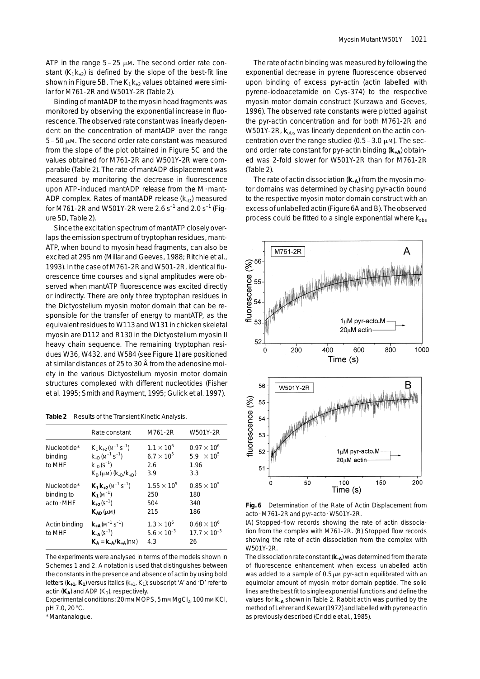ATP in the range  $5-25 \mu M$ . The second order rate constant  $(K_1K_{+2})$  is defined by the slope of the best-fit line shown in Figure 5B. The  $K_1K_{+2}$  values obtained were similar for M761-2R and W501Y-2R (Table 2).

Binding of mantADP to the myosin head fragments was monitored by observing the exponential increase in fluorescence. The observed rate constant was linearly dependent on the concentration of mantADP over the range  $5 - 50$   $\mu$ m. The second order rate constant was measured from the slope of the plot obtained in Figure 5C and the values obtained for M761-2R and W501Y-2R were comparable (Table 2). The rate of mantADP displacement was measured by monitoring the decrease in fluorescence upon ATP-induced mantADP release from the M·mant-ADP complex. Rates of mantADP release ( $k_D$ ) measured for M761-2R and W501Y-2R were 2.6  $s^{-1}$  and 2.0  $s^{-1}$  (Figure 5D, Table 2).

Since the excitation spectrum of mantATP closely overlaps the emission spectrum of tryptophan residues, mant-ATP, when bound to myosin head fragments, can also be excited at 295 nm (Millar and Geeves, 1988; Ritchie *et al.*, 1993). In the case of M761-2R and W501-2R, identical fluorescence time courses and signal amplitudes were observed when mantATP fluorescence was excited directly or indirectly. There are only three tryptophan residues in the *Dictyostelium* myosin motor domain that can be responsible for the transfer of energy to mantATP, as the equivalent residues to W113 and W131 in chicken skeletal myosin are D112 and R130 in the *Dictyostelium* myosin II heavy chain sequence. The remaining tryptophan residues W36, W432, and W584 (see Figure 1) are positioned at similar distances of 25 to 30 Å from the adenosine moiety in the various *Dictyostelium* myosin motor domain structures complexed with different nucleotides (Fisher *et al.* 1995; Smith and Rayment, 1995; Gulick *et al.* 1997).

**Table 2** Results of the Transient Kinetic Analysis.

|                                         | Rate constant                                                                                                                            | M761-2R                                                  | W501Y-2R                                                            |
|-----------------------------------------|------------------------------------------------------------------------------------------------------------------------------------------|----------------------------------------------------------|---------------------------------------------------------------------|
| Nucleotide*<br>binding<br>to MHF        | $K_1 K_{+2} (M^{-1} S^{-1})$<br>$k_{+D}$ (M <sup>-1</sup> S <sup>-1</sup> )<br>$k_{\text{n}}(s^{-1})$<br>$K_{D}(\mu M)$ $(k_{D}/k_{+D})$ | $1.1 \times 10^{6}$<br>$6.7 \times 10^{5}$<br>2.6<br>3.9 | $0.97 \times 10^{6}$<br>5.9 $\times$ 10 <sup>5</sup><br>1.96<br>3.3 |
| Nucleotide*<br>binding to<br>acto · MHF | $K_1K_{+2}(M^{-1}S^{-1})$<br>$K_1(M^{-1})$<br>${\bf k}_{+2}(s^{-1})$<br>$K_{AD}(\mu M)$                                                  | $1.55 \times 10^{5}$<br>250<br>504<br>215                | $0.85 \times 10^{5}$<br>180<br>340<br>186                           |
| Actin binding<br>to MHF                 | ${\bf k}_{+{\bf A}}(M^{-1}S^{-1})$<br>$k_{-A}(s^{-1})$<br>$K_A = k_{-A}/k_{+A}(nM)$                                                      | $1.3 \times 10^{6}$<br>$5.6 \times 10^{-3}$<br>4.3       | $0.68 \times 10^{6}$<br>$17.7 \times 10^{-3}$<br>26                 |

The experiments were analysed in terms of the models shown in Schemes 1 and 2. A notation is used that distinguishes between the constants in the presence and absence of actin by using bold letters (**k+1**, **K1**) versus italics (*k*+1, *K*1); subscript 'A' and 'D' refer to actin  $(K_A)$  and ADP  $(K_D)$ , respectively.

Experimental conditions: 20 mm MOPS, 5 mm MgCl<sub>2</sub>, 100 mm KCl, pH 7.0, 20 °C.

\* Mantanalogue.

The rate of actin binding was measured by following the exponential decrease in pyrene fluorescence observed upon binding of excess pyr-actin (actin labelled with pyrene-iodoacetamide on Cys-374) to the respective myosin motor domain construct (Kurzawa and Geeves, 1996). The observed rate constants were plotted against the pyr-actin concentration and for both M761-2R and W501Y-2R,  $k_{obs}$  was linearly dependent on the actin concentration over the range studied  $(0.5 - 3.0 \mu)$ . The second order rate constant for pyr-actin binding (**k+A**) obtained was 2-fold slower for W501Y-2R than for M761-2R (Table 2).

The rate of actin dissociation ( $k_{-A}$ ) from the myosin motor domains was determined by chasing pyr-actin bound to the respective myosin motor domain construct with an excess of unlabelled actin (Figure 6A and B). The observed process could be fitted to a single exponential where  $k_{obs}$ 



**Fig. 6** Determination of the Rate of Actin Displacement from acto ·M761-2R and pyr-acto ·W501Y-2R.

(A) Stopped-flow records showing the rate of actin dissociation from the complex with M761-2R. (B) Stopped flow records showing the rate of actin dissociation from the complex with W501Y-2R.

The dissociation rate constant ( $k_A$ ) was determined from the rate of fluorescence enhancement when excess unlabelled actin was added to a sample of  $0.5 \mu$ M pyr-actin equilibrated with an equimolar amount of myosin motor domain peptide. The solid lines are the best fit to single exponential functions and define the values for  $k_{-A}$  shown in Table 2. Rabbit actin was purified by the method of Lehrer and Kewar (1972) and labelled with pyrene actin as previously described (Criddle *et al.*, 1985).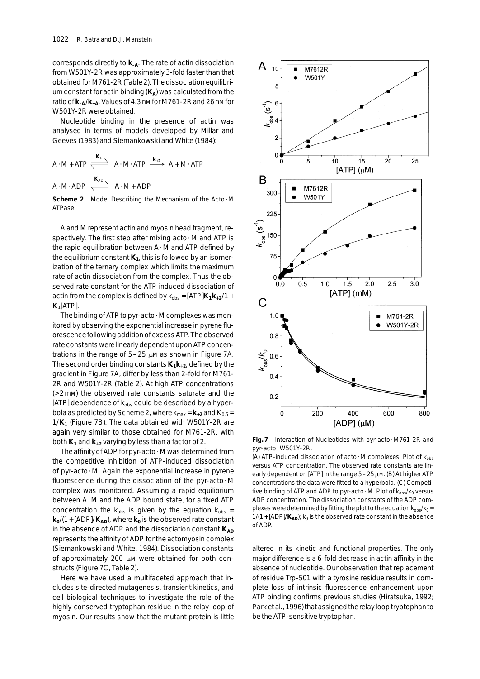corresponds directly to **k–A**. The rate of actin dissociation from W501Y-2R was approximately 3-fold faster than that obtained for M761-2R (Table 2). The dissociation equilibrium constant for actin binding ( $K_A$ ) was calculated from the ratio of **k–A**/**k+A**. Values of 4.3 nM for M761-2R and 26 nM for W501Y-2R were obtained.

Nucleotide binding in the presence of actin was analysed in terms of models developed by Millar and Geeves (1983) and Siemankowski and White (1984):

$$
A \cdot M + ATP \xrightarrow{\mathbf{K}_1} A \cdot M \cdot ATP \xrightarrow{\mathbf{k}_{+2}} A + M \cdot ATP
$$
  

$$
A \cdot M \cdot ADP \xrightarrow{\mathbf{K}_{AD}} A \cdot M + ADP
$$

**Scheme 2** Model Describing the Mechanism of the Acto · M ATPase.

A and M represent actin and myosin head fragment, respectively. The first step after mixing acto · M and ATP is the rapid equilibration between  $A \cdot M$  and ATP defined by the equilibrium constant  $K_1$ , this is followed by an isomerization of the ternary complex which limits the maximum rate of actin dissociation from the complex. Thus the observed rate constant for the ATP induced dissociation of actin from the complex is defined by  $k_{obs} = [ATP]K_1k_{+2}/1 +$  $K_1$ [ATP].

The binding of ATP to pyr-acto · M complexes was monitored by observing the exponential increase in pyrene fluorescence following addition of excess ATP. The observed rate constants were linearly dependent upon ATP concentrations in the range of  $5-25 \mu M$  as shown in Figure 7A. The second order binding constants  $K_1k_{+2}$ , defined by the gradient in Figure 7A, differ by less than 2-fold for M761- 2R and W501Y-2R (Table 2). At high ATP concentrations (> 2 mM) the observed rate constants saturate and the [ATP] dependence of  $k_{obs}$  could be described by a hyperbola as predicted by Scheme 2, where  $k_{\text{max}} = \mathbf{k}_{+2}$  and  $K_{0.5} =$ 1/**K1** (Figure 7B). The data obtained with W501Y-2R are again very similar to those obtained for M761-2R, with both  $K_1$  and  $K_{+2}$  varying by less than a factor of 2.

The affinity of ADP for pyr-acto  $\cdot$  M was determined from the competitive inhibition of ATP-induced dissociation of pyr-acto ·M. Again the exponential increase in pyrene fluorescence during the dissociation of the pyr-acto ·M complex was monitored. Assuming a rapid equilibrium between A · M and the ADP bound state, for a fixed ATP concentration the  $k_{obs}$  is given by the equation  $k_{obs}$  =  $k_0$ /(1 + [ADP]/ $K_{AD}$ ), where  $k_0$  is the observed rate constant in the absence of ADP and the dissociation constant  $K_{AD}$ represents the affinity of ADP for the actomyosin complex (Siemankowski and White, 1984). Dissociation constants of approximately 200  $\mu$ M were obtained for both constructs (Figure 7C, Table 2).

Here we have used a multifaceted approach that includes site-directed mutagenesis, transient kinetics, and cell biological techniques to investigate the role of the highly conserved tryptophan residue in the relay loop of myosin. Our results show that the mutant protein is little



**Fig. 7** Interaction of Nucleotides with pyr-acto ·M761-2R and pyr-acto · W501Y-2R.

(A) ATP-induced dissociation of acto · M complexes. Plot of  $k_{obs}$ *versus* ATP concentration. The observed rate constants are linearly dependent on [ATP] in the range  $5 - 25 \mu$ M. (B) At higher ATP concentrations the data were fitted to a hyperbola. (C) Competitive binding of ATP and ADP to pyr-acto  $\cdot$  M. Plot of  $k_{obs}/k_0$  *versus* ADP concentration. The dissociation constants of the ADP complexes were determined by fitting the plot to the equation  $k_{obs}/k_0 =$  $1/(1 + [ADP]/K_{AD})$ ;  $k_0$  is the observed rate constant in the absence of ADP.

altered in its kinetic and functional properties. The only major difference is a 6-fold decrease in actin affinity in the absence of nucleotide. Our observation that replacement of residue Trp-501 with a tyrosine residue results in complete loss of intrinsic fluorescence enhancement upon ATP binding confirms previous studies (Hiratsuka, 1992; Park *et al.*, 1996) that assigned the relay loop tryptophan to be the ATP-sensitive tryptophan.